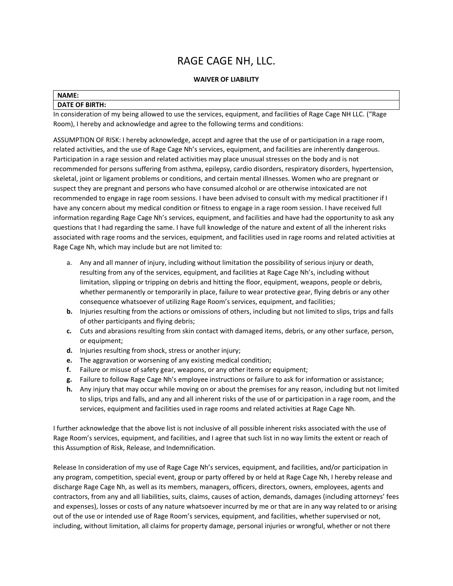# RAGE CAGE NH, LLC.

## **WAIVER OF LIABILITY**

#### **NAME:**

## **DATE OF BIRTH:**

In consideration of my being allowed to use the services, equipment, and facilities of Rage Cage NH LLC. ("Rage Room), I hereby and acknowledge and agree to the following terms and conditions:

ASSUMPTION OF RISK: I hereby acknowledge, accept and agree that the use of or participation in a rage room, related activities, and the use of Rage Cage Nh's services, equipment, and facilities are inherently dangerous. Participation in a rage session and related activities may place unusual stresses on the body and is not recommended for persons suffering from asthma, epilepsy, cardio disorders, respiratory disorders, hypertension, skeletal, joint or ligament problems or conditions, and certain mental illnesses. Women who are pregnant or suspect they are pregnant and persons who have consumed alcohol or are otherwise intoxicated are not recommended to engage in rage room sessions. I have been advised to consult with my medical practitioner if I have any concern about my medical condition or fitness to engage in a rage room session. I have received full information regarding Rage Cage Nh's services, equipment, and facilities and have had the opportunity to ask any questions that I had regarding the same. I have full knowledge of the nature and extent of all the inherent risks associated with rage rooms and the services, equipment, and facilities used in rage rooms and related activities at Rage Cage Nh, which may include but are not limited to:

- a. Any and all manner of injury, including without limitation the possibility of serious injury or death, resulting from any of the services, equipment, and facilities at Rage Cage Nh's, including without limitation, slipping or tripping on debris and hitting the floor, equipment, weapons, people or debris, whether permanently or temporarily in place, failure to wear protective gear, flying debris or any other consequence whatsoever of utilizing Rage Room's services, equipment, and facilities;
- **b.** Injuries resulting from the actions or omissions of others, including but not limited to slips, trips and falls of other participants and flying debris;
- **c.** Cuts and abrasions resulting from skin contact with damaged items, debris, or any other surface, person, or equipment;
- **d.** Injuries resulting from shock, stress or another injury;
- **e.** The aggravation or worsening of any existing medical condition;
- **f.** Failure or misuse of safety gear, weapons, or any other items or equipment;
- **g.** Failure to follow Rage Cage Nh's employee instructions or failure to ask for information or assistance;
- **h.** Any injury that may occur while moving on or about the premises for any reason, including but not limited to slips, trips and falls, and any and all inherent risks of the use of or participation in a rage room, and the services, equipment and facilities used in rage rooms and related activities at Rage Cage Nh.

I further acknowledge that the above list is not inclusive of all possible inherent risks associated with the use of Rage Room's services, equipment, and facilities, and I agree that such list in no way limits the extent or reach of this Assumption of Risk, Release, and Indemnification.

Release In consideration of my use of Rage Cage Nh's services, equipment, and facilities, and/or participation in any program, competition, special event, group or party offered by or held at Rage Cage Nh, I hereby release and discharge Rage Cage Nh, as well as its members, managers, officers, directors, owners, employees, agents and contractors, from any and all liabilities, suits, claims, causes of action, demands, damages (including attorneys' fees and expenses), losses or costs of any nature whatsoever incurred by me or that are in any way related to or arising out of the use or intended use of Rage Room's services, equipment, and facilities, whether supervised or not, including, without limitation, all claims for property damage, personal injuries or wrongful, whether or not there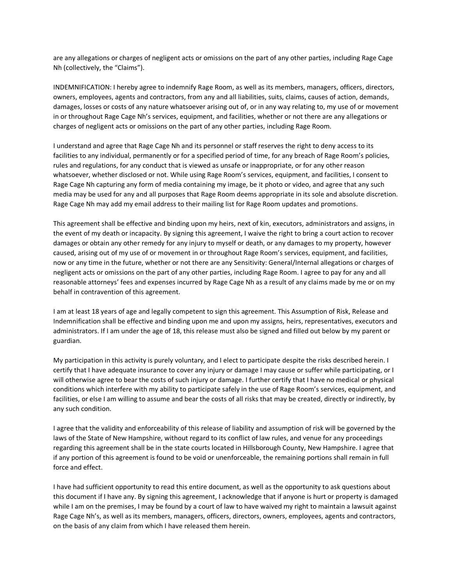are any allegations or charges of negligent acts or omissions on the part of any other parties, including Rage Cage Nh (collectively, the "Claims").

INDEMNIFICATION: I hereby agree to indemnify Rage Room, as well as its members, managers, officers, directors, owners, employees, agents and contractors, from any and all liabilities, suits, claims, causes of action, demands, damages, losses or costs of any nature whatsoever arising out of, or in any way relating to, my use of or movement in or throughout Rage Cage Nh's services, equipment, and facilities, whether or not there are any allegations or charges of negligent acts or omissions on the part of any other parties, including Rage Room.

I understand and agree that Rage Cage Nh and its personnel or staff reserves the right to deny access to its facilities to any individual, permanently or for a specified period of time, for any breach of Rage Room's policies, rules and regulations, for any conduct that is viewed as unsafe or inappropriate, or for any other reason whatsoever, whether disclosed or not. While using Rage Room's services, equipment, and facilities, I consent to Rage Cage Nh capturing any form of media containing my image, be it photo or video, and agree that any such media may be used for any and all purposes that Rage Room deems appropriate in its sole and absolute discretion. Rage Cage Nh may add my email address to their mailing list for Rage Room updates and promotions.

This agreement shall be effective and binding upon my heirs, next of kin, executors, administrators and assigns, in the event of my death or incapacity. By signing this agreement, I waive the right to bring a court action to recover damages or obtain any other remedy for any injury to myself or death, or any damages to my property, however caused, arising out of my use of or movement in or throughout Rage Room's services, equipment, and facilities, now or any time in the future, whether or not there are any Sensitivity: General/Internal allegations or charges of negligent acts or omissions on the part of any other parties, including Rage Room. I agree to pay for any and all reasonable attorneys' fees and expenses incurred by Rage Cage Nh as a result of any claims made by me or on my behalf in contravention of this agreement.

I am at least 18 years of age and legally competent to sign this agreement. This Assumption of Risk, Release and Indemnification shall be effective and binding upon me and upon my assigns, heirs, representatives, executors and administrators. If I am under the age of 18, this release must also be signed and filled out below by my parent or guardian.

My participation in this activity is purely voluntary, and I elect to participate despite the risks described herein. I certify that I have adequate insurance to cover any injury or damage I may cause or suffer while participating, or I will otherwise agree to bear the costs of such injury or damage. I further certify that I have no medical or physical conditions which interfere with my ability to participate safely in the use of Rage Room's services, equipment, and facilities, or else I am willing to assume and bear the costs of all risks that may be created, directly or indirectly, by any such condition.

I agree that the validity and enforceability of this release of liability and assumption of risk will be governed by the laws of the State of New Hampshire, without regard to its conflict of law rules, and venue for any proceedings regarding this agreement shall be in the state courts located in Hillsborough County, New Hampshire. I agree that if any portion of this agreement is found to be void or unenforceable, the remaining portions shall remain in full force and effect.

I have had sufficient opportunity to read this entire document, as well as the opportunity to ask questions about this document if I have any. By signing this agreement, I acknowledge that if anyone is hurt or property is damaged while I am on the premises, I may be found by a court of law to have waived my right to maintain a lawsuit against Rage Cage Nh's, as well as its members, managers, officers, directors, owners, employees, agents and contractors, on the basis of any claim from which I have released them herein.